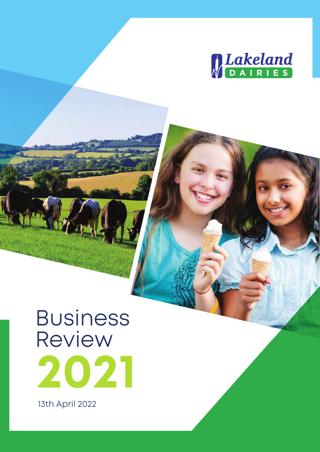

# Business Review **2021**

13th April 2022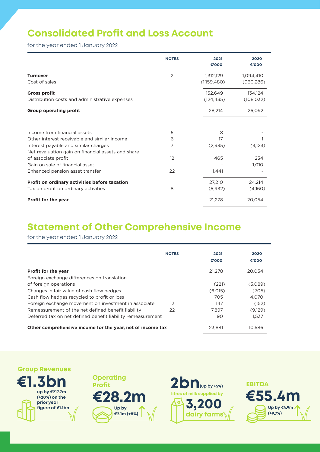## **Consolidated Profit and Loss Account**

for the year ended 1 January 2022

|                                                                                                              | <b>NOTES</b> | 2021<br>€'000 | 2020<br>€'000 |
|--------------------------------------------------------------------------------------------------------------|--------------|---------------|---------------|
| <b>Turnover</b>                                                                                              | 2            | 1,312,129     | 1,094,410     |
| Cost of sales                                                                                                |              | (1,159,480)   | (960, 286)    |
| <b>Gross profit</b>                                                                                          |              | 152.649       | 134,124       |
| Distribution costs and administrative expenses                                                               |              | (124, 435)    | (108, 032)    |
| <b>Group operating profit</b>                                                                                |              | 28,214        | 26,092        |
| Income from financial assets                                                                                 | 5            | 8             |               |
| Other interest receivable and similar income                                                                 | 6            | 17            |               |
| Interest payable and similar charges                                                                         | 7            | (2,935)       | (3,123)       |
| Net revaluation gain on financial assets and share<br>of associate profit<br>Gain on sale of financial asset | 12           | 465           | 234           |
| Enhanced pension asset transfer                                                                              | 22           | 1,441         | 1,010         |
| Profit on ordinary activities before taxation                                                                |              | 27,210        | 24,214        |
| Tax on profit on ordinary activities                                                                         | 8            | (5,932)       | (4,160)       |
| Profit for the year                                                                                          |              | 21,278        | 20,054        |

#### **Statement of Other Comprehensive Income**

for the year ended 1 January 2022

|                                                             | <b>NOTES</b> | 2021<br>€'000 | 2020<br>€'000 |
|-------------------------------------------------------------|--------------|---------------|---------------|
| <b>Profit for the year</b>                                  |              | 21.278        | 20.054        |
| Foreign exchange differences on translation                 |              |               |               |
| of foreign operations                                       |              | (221)         | (5,089)       |
| Changes in fair value of cash flow hedges                   |              | (6.015)       | (705)         |
| Cash flow hedges recycled to profit or loss                 |              | 705           | 4.070         |
| Foreign exchange movement on investment in associate        | 12           | 147           | (152)         |
| Remeasurement of the net defined benefit liability          | 22           | 7.897         | (9.129)       |
| Deferred tax on net defined benefit liability remeasurement |              | 90            | 1.537         |
| Other comprehensive income for the year, net of income tax  |              | 23.881        | 10.586        |

#### **Group Revenues**







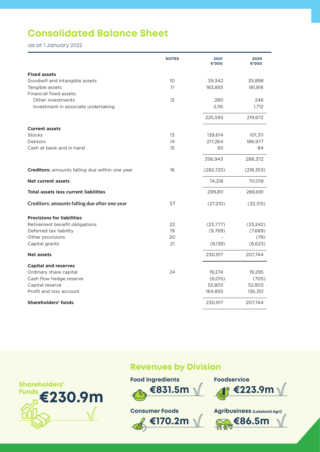## **Consolidated Balance Sheet**

as at 1 January 2022

|                                                       | <b>NOTES</b> | 2021<br>000'€ | 2020<br>000'€ |
|-------------------------------------------------------|--------------|---------------|---------------|
| <b>Fixed assets</b>                                   |              |               |               |
| Goodwill and intangible assets                        | 10           | 39,342        | 35,898        |
| Tangible assets                                       | 11           | 183,855       | 181,816       |
| Financial fixed assets:                               |              |               |               |
| Other investments                                     | 12           | 280           | 246           |
| Investment in associate undertaking                   |              | 2,116         | 1,712         |
|                                                       |              | 225,593       | 219,672       |
| <b>Current assets</b>                                 |              |               |               |
| <b>Stocks</b>                                         | 13           | 139,614       | 101,311       |
| Debtors                                               | 14           | 217,264       | 186,977       |
| Cash at bank and in hand                              | 15           | 65            | 84            |
|                                                       |              | 356,943       | 288,372       |
| <b>Creditors:</b> amounts falling due within one year | 16           | (282, 725)    | (218, 353)    |
| <b>Net current assets</b>                             |              | 74,218        | 70,019        |
| <b>Total assets less current liabilities</b>          |              | 299,811       | 289,691       |
| Creditors: amounts falling due after one year         | 17           | (27,210)      | (32, 315)     |
| <b>Provisions for liabilities</b>                     |              |               |               |
| Retirement benefit obligations                        | 22           | (23, 777)     | (33, 242)     |
| Deferred tax liability                                | 19           | (9,769)       | (7,689)       |
| Other provisions                                      | 20           |               | (78)          |
| Capital grants                                        | 21           | (8,138)       | (8,623)       |
| <b>Net assets</b>                                     |              | 230,917       | 207,744       |
| <b>Capital and reserves</b>                           |              |               |               |
| Ordinary share capital                                | 24           | 19,274        | 19,295        |
| Cash flow hedge reserve                               |              | (6,015)       | (705)         |
| Capital reserve                                       |              | 52,803        | 52,803        |
| Profit and loss account                               |              | 164,855       | 136,351       |
| Shareholders' funds                                   |              | 230,917       | 207,744       |



#### **Revenues by Division**





**Agribusiness (Lakeland Agri) €86.5m**   $\sqrt{\widehat{R}}$